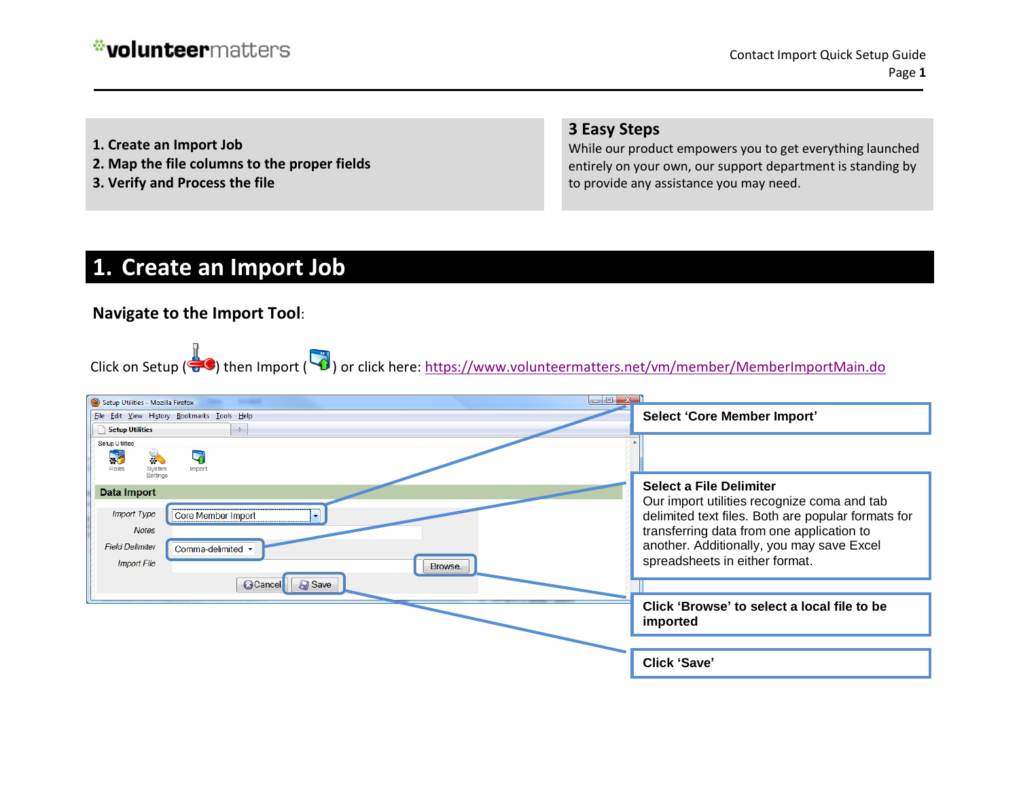- **1. Create an Import Job**
- **2. Map the file columns to the proper fields**
- **3. Verify and Process the file**

#### **3 Easy Steps**

While our product empowers you to get everything launched entirely on your own, our support department is standing by to provide any assistance you may need.

### **1. Create an Import Job**

### **Navigate to the Import Tool**:

Click on Setup ( $\bigcirc$ ) then Import ( $\bigcirc$ ) or click here:<https://www.volunteermatters.net/vm/member/MemberImportMain.do>

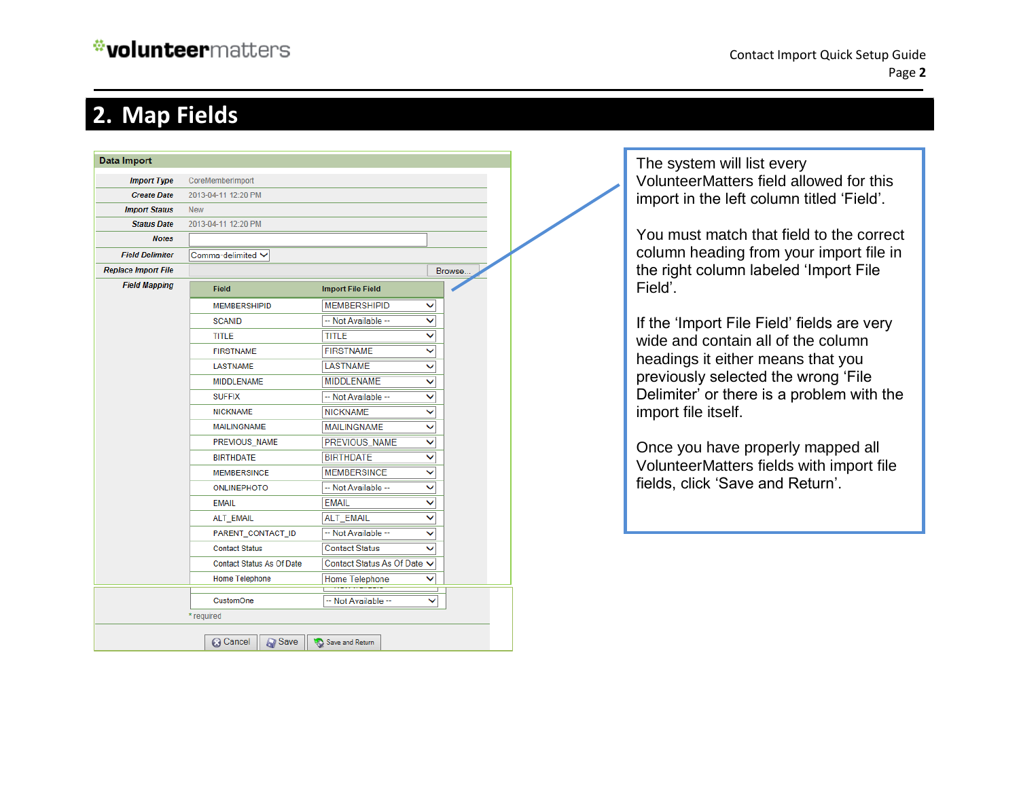## **2. Map Fields**

| Data Import                |                                  |                             |        |  |
|----------------------------|----------------------------------|-----------------------------|--------|--|
| <b>Import Type</b>         | CoreMemberImport                 |                             |        |  |
| <b>Create Date</b>         | 2013-04-11 12:20 PM              |                             |        |  |
| <b>Import Status</b>       | <b>New</b>                       |                             |        |  |
| <b>Status Date</b>         | 2013-04-11 12:20 PM              |                             |        |  |
| <b>Notes</b>               |                                  |                             |        |  |
| <b>Field Delimiter</b>     | Comma-delimited $\vee$           |                             |        |  |
| <b>Replace Import File</b> |                                  |                             | Browse |  |
| <b>Field Mapping</b>       | <b>Field</b>                     | <b>Import File Field</b>    |        |  |
|                            | <b>MEMBERSHIPID</b>              | <b>MEMBERSHIPID</b>         | ◡      |  |
|                            | <b>SCANID</b>                    | -- Not Available --         | v      |  |
|                            | <b>TITLE</b>                     | <b>TITLE</b>                | ◡      |  |
|                            | <b>FIRSTNAME</b>                 | <b>FIRSTNAME</b>            | ◡      |  |
|                            | <b>LASTNAME</b>                  | <b>LASTNAME</b>             | ▽      |  |
|                            | <b>MIDDLENAME</b>                | <b>MIDDLENAME</b>           | ◡      |  |
|                            | <b>SUFFIX</b>                    | -- Not Available --         | ◡      |  |
|                            | <b>NICKNAME</b>                  | <b>NICKNAME</b>             | ▽      |  |
|                            | <b>MAILINGNAME</b>               | <b>MAILINGNAME</b>          | ◡      |  |
|                            | PREVIOUS_NAME                    | PREVIOUS_NAME               | ◡      |  |
|                            | <b>BIRTHDATE</b>                 | <b>BIRTHDATE</b>            | ◡      |  |
|                            | <b>MEMBERSINCE</b>               | <b>MEMBERSINCE</b>          | ◡      |  |
|                            | <b>ONLINEPHOTO</b>               | -- Not Available --         | ◡      |  |
|                            | <b>EMAIL</b>                     | <b>EMAIL</b>                | ◡      |  |
|                            | ALT_EMAIL                        | <b>ALT EMAIL</b>            | ◡      |  |
|                            | PARENT_CONTACT_ID                | -- Not Available --         | ◡      |  |
|                            | <b>Contact Status</b>            | <b>Contact Status</b>       | ◡      |  |
|                            | <b>Contact Status As Of Date</b> | Contact Status As Of Date V |        |  |
|                            | <b>Home Telephone</b>            | Home Telephone              | ◡      |  |
|                            | <b>CustomOne</b>                 | -- Not Available --         | ◡      |  |
|                            | * required                       |                             |        |  |
|                            |                                  |                             |        |  |
|                            | <b>Save</b><br><b>@</b> Cancel   | Save and Return             |        |  |

The system will list every VolunteerMatters field allowed for this import in the left column titled 'Field'.

You must match that field to the correct column heading from your import file in the right column labeled 'Import File Field'.

If the 'Import File Field' fields are very wide and contain all of the column headings it either means that you previously selected the wrong 'File Delimiter' or there is a problem with the import file itself.

Once you have properly mapped all VolunteerMatters fields with import file fields, click 'Save and Return'.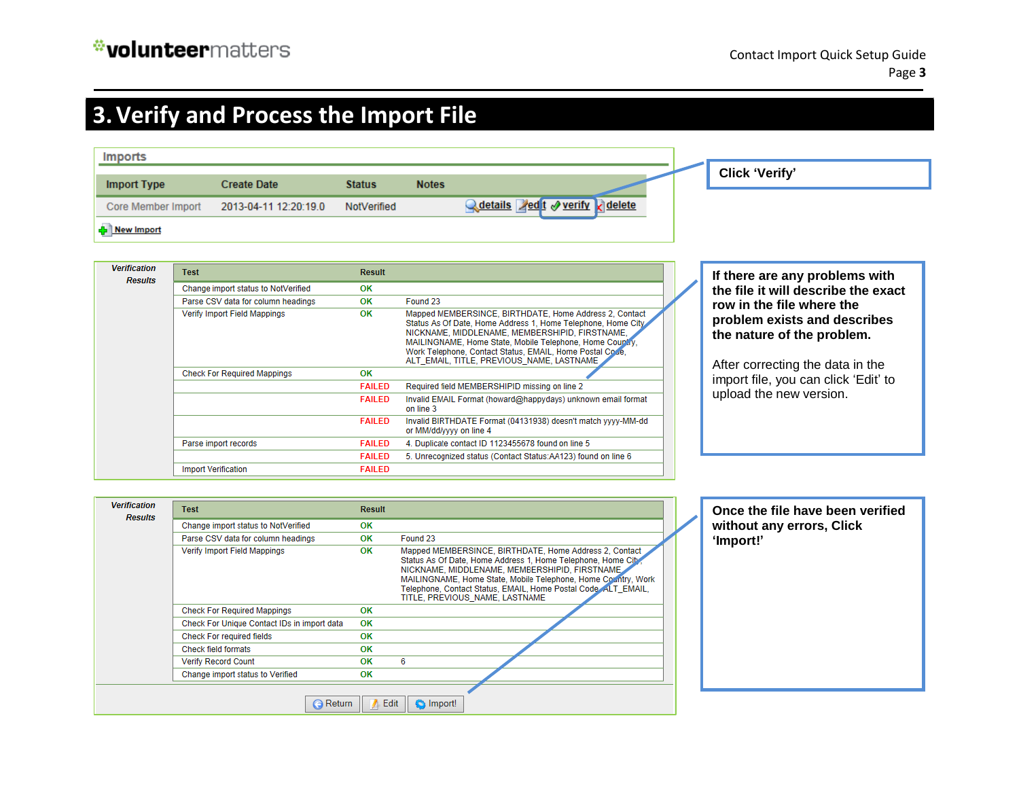# **3.Verify and Process the Import File**

| <b>Imports</b>            |                       |               |              |                               |  |                       |
|---------------------------|-----------------------|---------------|--------------|-------------------------------|--|-----------------------|
| <b>Import Type</b>        | <b>Create Date</b>    | <b>Status</b> | <b>Notes</b> |                               |  | <b>Click 'Verify'</b> |
|                           |                       |               |              |                               |  |                       |
| <b>Core Member Import</b> | 2013-04-11 12:20:19.0 | NotVerified   |              | ed t verify delete<br>details |  |                       |
| <b>P</b> New Import       |                       |               |              |                               |  |                       |

| Test                                | <b>Result</b> |                                                                                                                                                                                                                                                                                                                                               |  |
|-------------------------------------|---------------|-----------------------------------------------------------------------------------------------------------------------------------------------------------------------------------------------------------------------------------------------------------------------------------------------------------------------------------------------|--|
| Change import status to NotVerified | OK            |                                                                                                                                                                                                                                                                                                                                               |  |
| Parse CSV data for column headings  | <b>OK</b>     | Found 23                                                                                                                                                                                                                                                                                                                                      |  |
| Verify Import Field Mappings        | OK            | Mapped MEMBERSINCE, BIRTHDATE, Home Address 2, Contact<br>Status As Of Date, Home Address 1, Home Telephone, Home City<br>NICKNAME, MIDDLENAME, MEMBERSHIPID, FIRSTNAME,<br>MAILINGNAME, Home State, Mobile Telephone, Home Couplay,<br>Work Telephone, Contact Status, EMAIL, Home Postal Code,<br>ALT EMAIL. TITLE, PREVIOUS NAME, LASTNAME |  |
| <b>Check For Required Mappings</b>  | <b>OK</b>     |                                                                                                                                                                                                                                                                                                                                               |  |
|                                     | <b>FAILED</b> | Required field MEMBERSHIPID missing on line 2                                                                                                                                                                                                                                                                                                 |  |
|                                     | <b>FAILED</b> | Invalid EMAIL Format (howard@happydays) unknown email format<br>on line 3                                                                                                                                                                                                                                                                     |  |
|                                     | <b>FAILED</b> | Invalid BIRTHDATE Format (04131938) doesn't match yyyy-MM-dd<br>or MM/dd/yyyy on line 4                                                                                                                                                                                                                                                       |  |
| Parse import records                | <b>FAILED</b> | 4. Duplicate contact ID 1123455678 found on line 5                                                                                                                                                                                                                                                                                            |  |
|                                     | <b>FAILED</b> | 5. Unrecognized status (Contact Status:AA123) found on line 6                                                                                                                                                                                                                                                                                 |  |
| <b>Import Verification</b>          | <b>FAILED</b> |                                                                                                                                                                                                                                                                                                                                               |  |
|                                     |               |                                                                                                                                                                                                                                                                                                                                               |  |

**If there are any problems with the file it will describe the exact row in the file where the problem exists and describes the nature of the problem.**

After correcting the data in the import file, you can click 'Edit' to upload the new version.

| <b>Verification</b><br><b>Results</b> | <b>Test</b>                                 | <b>Result</b> |                                                                                                                                                                                                                                                                                                                                               | Once the file have been verified |
|---------------------------------------|---------------------------------------------|---------------|-----------------------------------------------------------------------------------------------------------------------------------------------------------------------------------------------------------------------------------------------------------------------------------------------------------------------------------------------|----------------------------------|
|                                       | Change import status to NotVerified         | OK            |                                                                                                                                                                                                                                                                                                                                               | without any errors, Click        |
|                                       | Parse CSV data for column headings          | OK            | Found 23                                                                                                                                                                                                                                                                                                                                      | 'Import!'                        |
|                                       | Verify Import Field Mappings                | OK            | Mapped MEMBERSINCE, BIRTHDATE, Home Address 2, Contact<br>Status As Of Date, Home Address 1, Home Telephone, Home City,<br>NICKNAME, MIDDLENAME, MEMBERSHIPID, FIRSTNAME<br>MAILINGNAME, Home State, Mobile Telephone, Home Country, Work<br>Telephone, Contact Status, EMAIL, Home Postal Code, ALT EMAIL,<br>TITLE, PREVIOUS NAME, LASTNAME |                                  |
|                                       | <b>Check For Required Mappings</b>          | OK            |                                                                                                                                                                                                                                                                                                                                               |                                  |
|                                       | Check For Unique Contact IDs in import data | OK            |                                                                                                                                                                                                                                                                                                                                               |                                  |
|                                       | <b>Check For required fields</b>            | OK            |                                                                                                                                                                                                                                                                                                                                               |                                  |
|                                       | <b>Check field formats</b>                  | OK            |                                                                                                                                                                                                                                                                                                                                               |                                  |
|                                       | <b>Verify Record Count</b>                  | OK            | 6                                                                                                                                                                                                                                                                                                                                             |                                  |
|                                       | Change import status to Verified            | OK            |                                                                                                                                                                                                                                                                                                                                               |                                  |
|                                       |                                             |               |                                                                                                                                                                                                                                                                                                                                               |                                  |
|                                       | <b>G</b> Return                             | Edit          | <b>O</b> Import!                                                                                                                                                                                                                                                                                                                              |                                  |